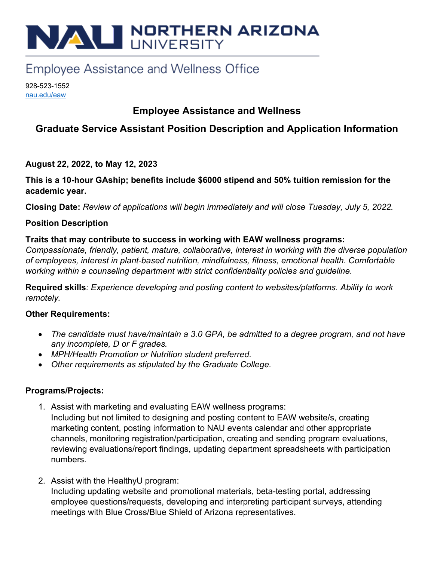# NAU NORTHERN ARIZONA

# **Employee Assistance and Wellness Office**

928-523-1552 nau.edu/eaw

### **Employee Assistance and Wellness**

## **Graduate Service Assistant Position Description and Application Information**

#### **August 22, 2022, to May 12, 2023**

**This is a 10-hour GAship; benefits include \$6000 stipend and 50% tuition remission for the academic year.** 

**Closing Date:** *Review of applications will begin immediately and will close Tuesday, July 5, 2022.* 

#### **Position Description**

#### **Traits that may contribute to success in working with EAW wellness programs:**

*Compassionate, friendly, patient, mature, collaborative, interest in working with the diverse population of employees, interest in plant-based nutrition, mindfulness, fitness, emotional health. Comfortable working within a counseling department with strict confidentiality policies and guideline.* 

**Required skills***: Experience developing and posting content to websites/platforms. Ability to work remotely.* 

#### **Other Requirements:**

- *The candidate must have/maintain a 3.0 GPA, be admitted to a degree program, and not have any incomplete, D or F grades.*
- *MPH/Health Promotion or Nutrition student preferred.*
- *Other requirements as stipulated by the Graduate College.*

#### **Programs/Projects:**

- 1. Assist with marketing and evaluating EAW wellness programs: Including but not limited to designing and posting content to EAW website/s, creating marketing content, posting information to NAU events calendar and other appropriate channels, monitoring registration/participation, creating and sending program evaluations, reviewing evaluations/report findings, updating department spreadsheets with participation numbers.
- 2. Assist with the HealthyU program: Including updating website and promotional materials, beta-testing portal, addressing employee questions/requests, developing and interpreting participant surveys, attending meetings with Blue Cross/Blue Shield of Arizona representatives.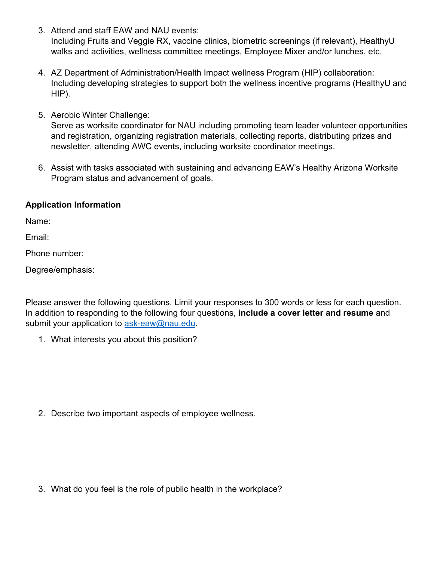- 3. Attend and staff EAW and NAU events: Including Fruits and Veggie RX, vaccine clinics, biometric screenings (if relevant), HealthyU walks and activities, wellness committee meetings, Employee Mixer and/or lunches, etc.
- 4. AZ Department of Administration/Health Impact wellness Program (HIP) collaboration: Including developing strategies to support both the wellness incentive programs (HealthyU and HIP).
- 5. Aerobic Winter Challenge:

Serve as worksite coordinator for NAU including promoting team leader volunteer opportunities and registration, organizing registration materials, collecting reports, distributing prizes and newsletter, attending AWC events, including worksite coordinator meetings.

6. Assist with tasks associated with sustaining and advancing EAW's Healthy Arizona Worksite Program status and advancement of goals.

#### **Application Information**

Name:

Email:

Phone number:

Degree/emphasis:

Please answer the following questions. Limit your responses to 300 words or less for each question. In addition to responding to the following four questions, **include a cover letter and resume** and submit your application to [ask-eaw@nau.edu.](mailto:ask-eaw@nau.edu?subject=GSA%20application%20materials)

1. What interests you about this position?

2. Describe two important aspects of employee wellness.

3. What do you feel is the role of public health in the workplace?